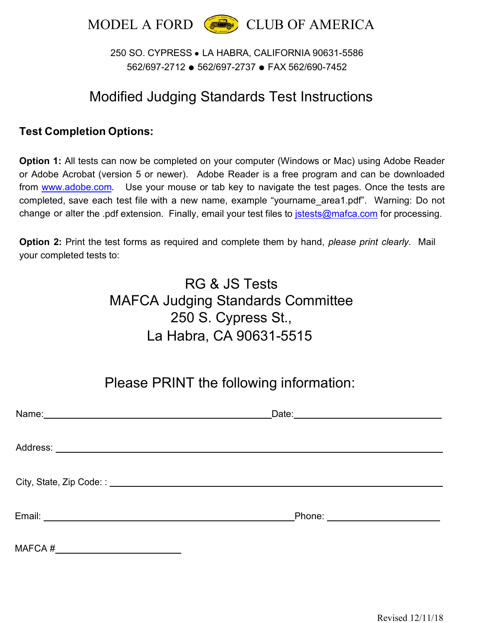

#### 250 SO. CYPRESS ● LA HABRA, CALIFORNIA 90631-5586 562/697-2712 ● 562/697-2737 ● FAX 562/690-7452

# Modified Judging Standards Test Instructions

#### **Test Completion Options:**

**Option 1:** All tests can now be completed on your computer (Windows or Mac) using Adobe Reader or Adobe Acrobat (version 5 or newer). Adobe Reader is a free program and can be downloaded from www.adobe.com. Use your mouse or tab key to navigate the test pages. Once the tests are completed, save each test file with a new name, example "yourname\_area1.pdf". Warning: Do not change or alter the .pdf extension. Finally, email your test files to **jstests@mafca.com** for processing.

**Option 2:** Print the test forms as required and complete them by hand, *please print clearly*. Mail your completed tests to:

# RG & JS Tests MAFCA Judging Standards Committee 250 S. Cypress St., La Habra, CA 90631-5515

# Please PRINT the following information:

|                                      | Phone: _________________________ |
|--------------------------------------|----------------------------------|
| MAFCA #_____________________________ |                                  |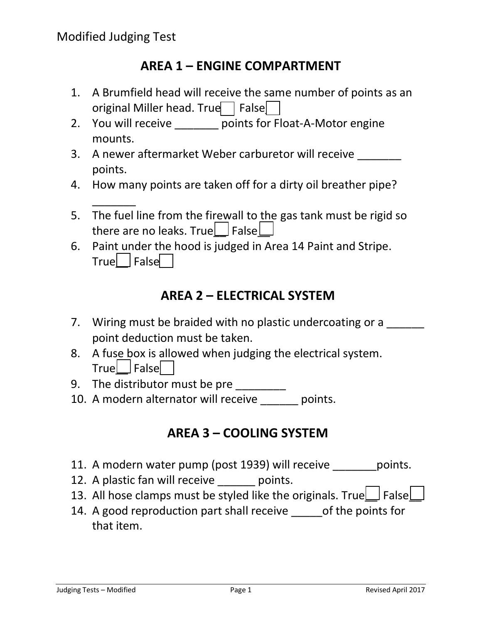$\overline{\phantom{a}}$ 

# **AREA 1 – ENGINE COMPARTMENT**

- 1. A Brumfield head will receive the same number of points as an original Miller head. True $\Box$  False $\Box$
- 2. You will receive help points for Float-A-Motor engine mounts.
- 3. A newer aftermarket Weber carburetor will receive points.
- 4. How many points are taken off for a dirty oil breather pipe?
- 5. The fuel line from the firewall to the gas tank must be rigid so there are no leaks. True $\square$  False $\square$
- 6. Paint under the hood is judged in Area 14 Paint and Stripe.  $True$  | False

# **AREA 2 – ELECTRICAL SYSTEM**

- 7. Wiring must be braided with no plastic undercoating or a point deduction must be taken.
- 8. A fuse box is allowed when judging the electrical system.  $True$  False
- 9. The distributor must be pre \_\_\_\_\_\_\_\_\_
- 10. A modern alternator will receive \_\_\_\_\_\_ points.

# **AREA 3 – COOLING SYSTEM**

- 11. A modern water pump (post 1939) will receive points.
- 12. A plastic fan will receive points.
- 13. All hose clamps must be styled like the originals. True  $\Box$  False  $\Box$
- 14. A good reproduction part shall receive \_\_\_\_\_\_of the points for that item.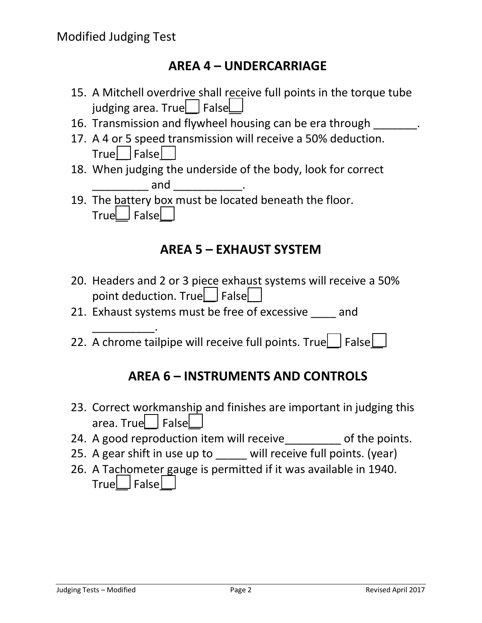\_\_\_\_\_\_\_\_\_\_.

# **AREA 4 – UNDERCARRIAGE**

- 15. A Mitchell overdrive shall receive full points in the torque tube judging area. True  $\Box$  False
- 16. Transmission and flywheel housing can be era through  $\qquad \qquad$ .
- 17. A 4 or 5 speed transmission will receive a 50% deduction. True False
- 18. When judging the underside of the body, look for correct and \_\_\_\_\_\_\_\_\_\_\_\_\_.
- 19. The battery box must be located beneath the floor.  $True$  False

# **AREA 5 – EXHAUST SYSTEM**

- 20. Headers and 2 or 3 piece exhaust systems will receive a 50% point deduction. True $\Box$  False
- 21. Exhaust systems must be free of excessive and
- 22. A chrome tailpipe will receive full points. True  $\Box$  False

### **AREA 6 – INSTRUMENTS AND CONTROLS**

- 23. Correct workmanship and finishes are important in judging this area. True**L** FalseL
- 24. A good reproduction item will receive of the points.
- 25. A gear shift in use up to \_\_\_\_\_ will receive full points. (year)
- 26. A Tachometer gauge is permitted if it was available in 1940.  $True$  False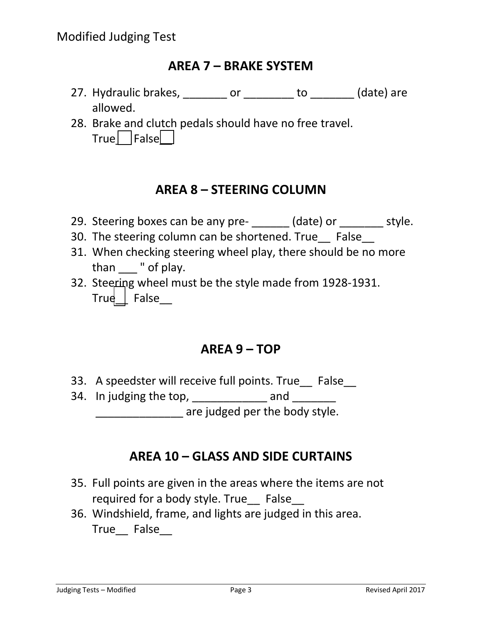## **AREA 7 – BRAKE SYSTEM**

- 27. Hydraulic brakes, \_\_\_\_\_\_\_\_ or \_\_\_\_\_\_\_\_ to \_\_\_\_\_\_\_ (date) are allowed.
- 28. Brake and clutch pedals should have no free travel.  $True$  False

# **AREA 8 – STEERING COLUMN**

- 29. Steering boxes can be any pre- (date) or style.
- 30. The steering column can be shortened. True False
- 31. When checking steering wheel play, there should be no more than " of play.
- 32. Steering wheel must be the style made from 1928-1931. True  $\vert$  False

### **AREA 9 – TOP**

- 33. A speedster will receive full points. True False
- 34. In judging the top, and are judged per the body style.

# **AREA 10 – GLASS AND SIDE CURTAINS**

- 35. Full points are given in the areas where the items are not required for a body style. True False
- 36. Windshield, frame, and lights are judged in this area. True False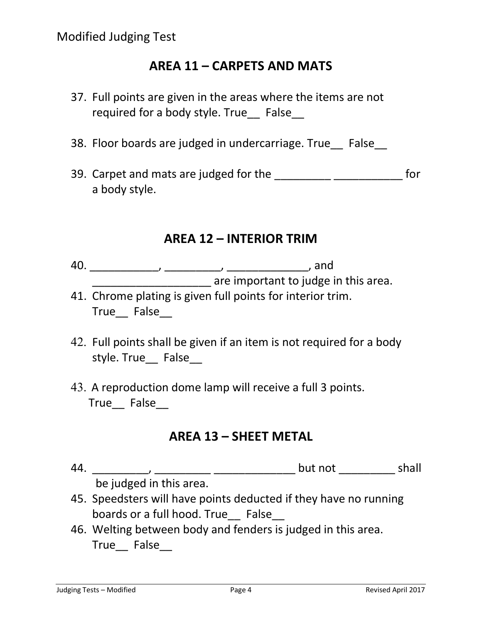## **AREA 11 – CARPETS AND MATS**

- 37. Full points are given in the areas where the items are not required for a body style. True False
- 38. Floor boards are judged in undercarriage. True False
- 39. Carpet and mats are judged for the \_\_\_\_\_\_\_\_\_\_\_\_\_\_\_\_\_\_\_\_\_\_\_\_\_\_\_\_\_\_\_\_\_ for a body style.

#### **AREA 12 – INTERIOR TRIM**

- 40. \_\_\_\_\_\_\_\_\_\_\_, \_\_\_\_\_\_\_\_\_, \_\_\_\_\_\_\_\_\_\_\_\_\_, and **\_\_\_\_\_\_\_\_\_\_\_\_\_\_\_\_\_\_\_\_** are important to judge in this area.
- 41. Chrome plating is given full points for interior trim. True False
- 42. Full points shall be given if an item is not required for a body style. True\_ False\_
- 43. A reproduction dome lamp will receive a full 3 points. True False

### **AREA 13 – SHEET METAL**

- 44. \_\_\_\_\_\_\_\_\_, \_\_\_\_\_\_\_\_\_ \_\_\_\_\_\_\_\_\_\_\_\_\_ but not \_\_\_\_\_\_\_\_\_ shall be judged in this area.
- 45. Speedsters will have points deducted if they have no running boards or a full hood. True False
- 46. Welting between body and fenders is judged in this area. True False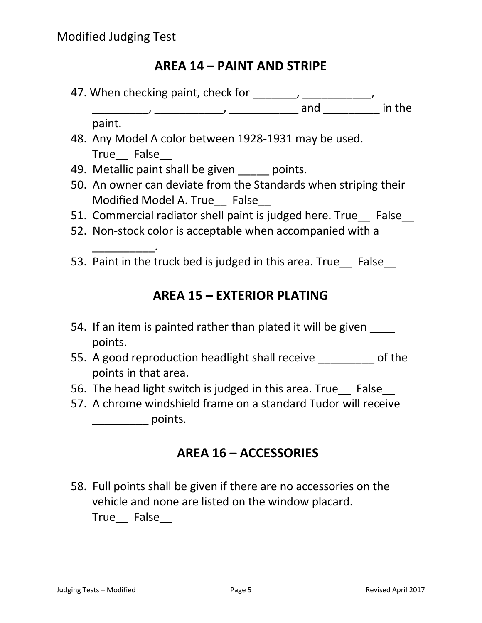# **AREA 14 – PAINT AND STRIPE**

47. When checking paint, check for \_\_\_\_\_\_, \_\_\_\_\_\_\_\_\_\_\_, \_\_\_\_\_\_\_\_\_, \_\_\_\_\_\_\_\_\_\_\_, \_\_\_\_\_\_\_\_\_\_\_ and \_\_\_\_\_\_\_\_\_ in the

paint.

\_\_\_\_\_\_\_\_\_\_.

- 48. Any Model A color between 1928-1931 may be used. True False
- 49. Metallic paint shall be given \_\_\_\_\_ points.
- 50. An owner can deviate from the Standards when striping their Modified Model A. True False
- 51. Commercial radiator shell paint is judged here. True False
- 52. Non-stock color is acceptable when accompanied with a
- 53. Paint in the truck bed is judged in this area. True\_ False\_

# **AREA 15 – EXTERIOR PLATING**

- 54. If an item is painted rather than plated it will be given points.
- 55. A good reproduction headlight shall receive \_\_\_\_\_\_\_\_\_ of the points in that area.
- 56. The head light switch is judged in this area. True False
- 57. A chrome windshield frame on a standard Tudor will receive  $\frac{1}{\sqrt{1-\frac{1}{\sqrt{1-\frac{1}{\sqrt{1-\frac{1}{\sqrt{1-\frac{1}{\sqrt{1-\frac{1}{\sqrt{1-\frac{1}{\sqrt{1-\frac{1}{\sqrt{1-\frac{1}{\sqrt{1-\frac{1}{\sqrt{1-\frac{1}{\sqrt{1-\frac{1}{\sqrt{1-\frac{1}{\sqrt{1-\frac{1}{\sqrt{1-\frac{1}{\sqrt{1-\frac{1}{\sqrt{1-\frac{1}{\sqrt{1-\frac{1}{\sqrt{1-\frac{1}{\sqrt{1-\frac{1}{\sqrt{1-\frac{1}{\sqrt{1-\frac{1}{\sqrt{1-\frac{1}{\sqrt{1-\frac{1}{\sqrt{1-\frac{1$

# **AREA 16 – ACCESSORIES**

58. Full points shall be given if there are no accessories on the vehicle and none are listed on the window placard. True False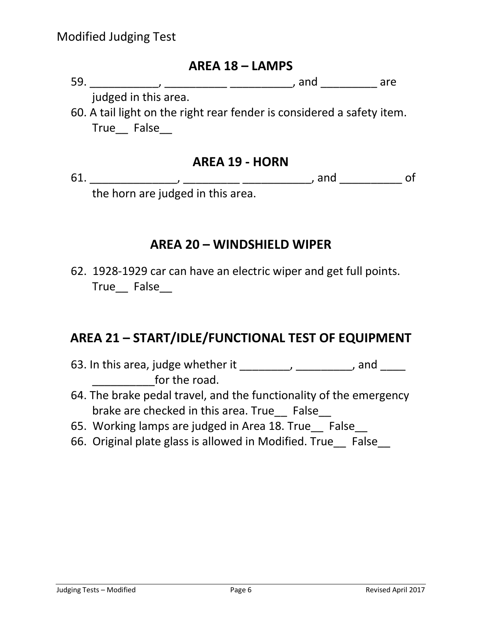#### **AREA 18 – LAMPS**

59. \_\_\_\_\_\_\_\_\_\_\_, \_\_\_\_\_\_\_\_\_\_ \_\_\_\_\_\_\_\_\_\_, and \_\_\_\_\_\_\_\_\_ are

judged in this area.

60. A tail light on the right rear fender is considered a safety item. True False

#### **AREA 19 - HORN**

61. \_\_\_\_\_\_\_\_\_\_\_\_\_\_, \_\_\_\_\_\_\_\_\_ \_\_\_\_\_\_\_\_\_\_\_, and \_\_\_\_\_\_\_\_\_\_ of the horn are judged in this area.

### **AREA 20 – WINDSHIELD WIPER**

62. 1928-1929 car can have an electric wiper and get full points. True False

### **AREA 21 – START/IDLE/FUNCTIONAL TEST OF EQUIPMENT**

- 63. In this area, judge whether it  $\frac{1}{\frac{1}{1-\frac{1}{1-\frac{1}{1-\frac{1}{1-\frac{1}{1-\frac{1}{1-\frac{1}{1-\frac{1}{1-\frac{1}{1-\frac{1}{1-\frac{1}{1-\frac{1}{1-\frac{1}{1-\frac{1}{1-\frac{1}{1-\frac{1}{1-\frac{1}{1-\frac{1}{1-\frac{1}{1-\frac{1}{1-\frac{1}{1-\frac{1}{1-\frac{1}{1-\frac{1}{1-\frac{1}{1-\frac{1}{1-\frac{1}{1-\frac{1}{1-\frac{1}{1-\frac{1}{1$  $\blacksquare$  for the road.
- 64. The brake pedal travel, and the functionality of the emergency brake are checked in this area. True False
- 65. Working lamps are judged in Area 18. True False
- 66. Original plate glass is allowed in Modified. True\_\_ False\_\_